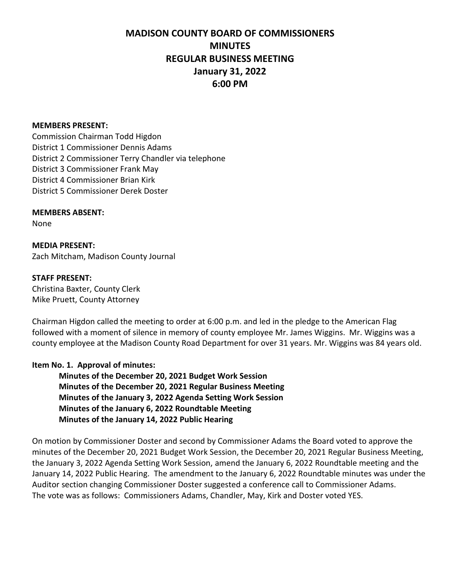#### **MEMBERS PRESENT:**

Commission Chairman Todd Higdon District 1 Commissioner Dennis Adams District 2 Commissioner Terry Chandler via telephone District 3 Commissioner Frank May District 4 Commissioner Brian Kirk District 5 Commissioner Derek Doster

**MEMBERS ABSENT:**

None

**MEDIA PRESENT:** Zach Mitcham, Madison County Journal

#### **STAFF PRESENT:**

Christina Baxter, County Clerk Mike Pruett, County Attorney

Chairman Higdon called the meeting to order at 6:00 p.m. and led in the pledge to the American Flag followed with a moment of silence in memory of county employee Mr. James Wiggins. Mr. Wiggins was a county employee at the Madison County Road Department for over 31 years. Mr. Wiggins was 84 years old.

#### **Item No. 1. Approval of minutes:**

**Minutes of the December 20, 2021 Budget Work Session Minutes of the December 20, 2021 Regular Business Meeting Minutes of the January 3, 2022 Agenda Setting Work Session Minutes of the January 6, 2022 Roundtable Meeting Minutes of the January 14, 2022 Public Hearing**

On motion by Commissioner Doster and second by Commissioner Adams the Board voted to approve the minutes of the December 20, 2021 Budget Work Session, the December 20, 2021 Regular Business Meeting, the January 3, 2022 Agenda Setting Work Session, amend the January 6, 2022 Roundtable meeting and the January 14, 2022 Public Hearing. The amendment to the January 6, 2022 Roundtable minutes was under the Auditor section changing Commissioner Doster suggested a conference call to Commissioner Adams. The vote was as follows: Commissioners Adams, Chandler, May, Kirk and Doster voted YES.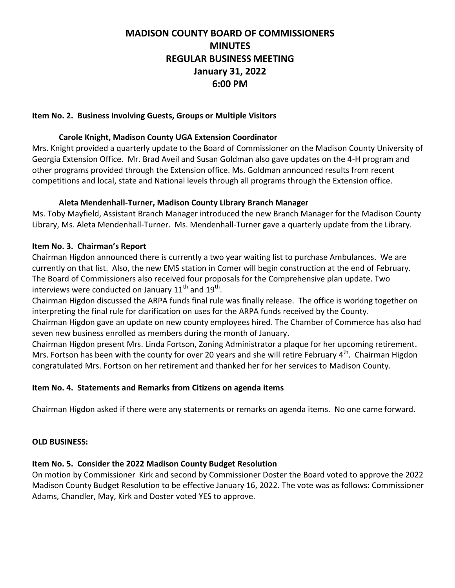#### **Item No. 2. Business Involving Guests, Groups or Multiple Visitors**

### **Carole Knight, Madison County UGA Extension Coordinator**

Mrs. Knight provided a quarterly update to the Board of Commissioner on the Madison County University of Georgia Extension Office. Mr. Brad Aveil and Susan Goldman also gave updates on the 4-H program and other programs provided through the Extension office. Ms. Goldman announced results from recent competitions and local, state and National levels through all programs through the Extension office.

### **Aleta Mendenhall-Turner, Madison County Library Branch Manager**

Ms. Toby Mayfield, Assistant Branch Manager introduced the new Branch Manager for the Madison County Library, Ms. Aleta Mendenhall-Turner. Ms. Mendenhall-Turner gave a quarterly update from the Library.

### **Item No. 3. Chairman's Report**

Chairman Higdon announced there is currently a two year waiting list to purchase Ambulances. We are currently on that list. Also, the new EMS station in Comer will begin construction at the end of February. The Board of Commissioners also received four proposals for the Comprehensive plan update. Two interviews were conducted on January 11<sup>th</sup> and 19<sup>th</sup>.

Chairman Higdon discussed the ARPA funds final rule was finally release. The office is working together on interpreting the final rule for clarification on uses for the ARPA funds received by the County.

Chairman Higdon gave an update on new county employees hired. The Chamber of Commerce has also had seven new business enrolled as members during the month of January.

Chairman Higdon present Mrs. Linda Fortson, Zoning Administrator a plaque for her upcoming retirement. Mrs. Fortson has been with the county for over 20 years and she will retire February 4<sup>th</sup>. Chairman Higdon congratulated Mrs. Fortson on her retirement and thanked her for her services to Madison County.

# **Item No. 4. Statements and Remarks from Citizens on agenda items**

Chairman Higdon asked if there were any statements or remarks on agenda items. No one came forward.

#### **OLD BUSINESS:**

# **Item No. 5. Consider the 2022 Madison County Budget Resolution**

On motion by Commissioner Kirk and second by Commissioner Doster the Board voted to approve the 2022 Madison County Budget Resolution to be effective January 16, 2022. The vote was as follows: Commissioner Adams, Chandler, May, Kirk and Doster voted YES to approve.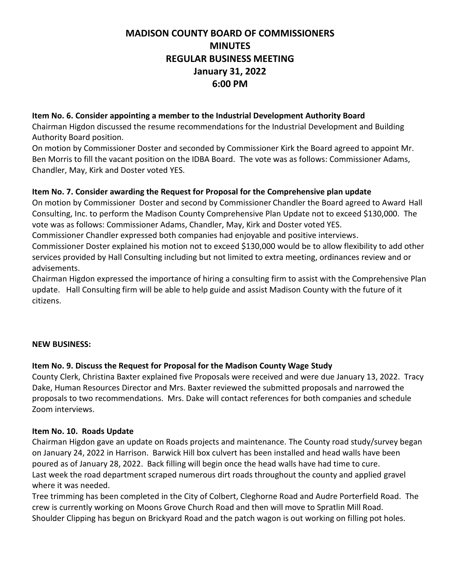### **Item No. 6. Consider appointing a member to the Industrial Development Authority Board**

Chairman Higdon discussed the resume recommendations for the Industrial Development and Building Authority Board position.

On motion by Commissioner Doster and seconded by Commissioner Kirk the Board agreed to appoint Mr. Ben Morris to fill the vacant position on the IDBA Board. The vote was as follows: Commissioner Adams, Chandler, May, Kirk and Doster voted YES.

# **Item No. 7. Consider awarding the Request for Proposal for the Comprehensive plan update**

On motion by Commissioner Doster and second by Commissioner Chandler the Board agreed to Award Hall Consulting, Inc. to perform the Madison County Comprehensive Plan Update not to exceed \$130,000. The vote was as follows: Commissioner Adams, Chandler, May, Kirk and Doster voted YES.

Commissioner Chandler expressed both companies had enjoyable and positive interviews.

Commissioner Doster explained his motion not to exceed \$130,000 would be to allow flexibility to add other services provided by Hall Consulting including but not limited to extra meeting, ordinances review and or advisements.

Chairman Higdon expressed the importance of hiring a consulting firm to assist with the Comprehensive Plan update. Hall Consulting firm will be able to help guide and assist Madison County with the future of it citizens.

# **NEW BUSINESS:**

# **Item No. 9. Discuss the Request for Proposal for the Madison County Wage Study**

County Clerk, Christina Baxter explained five Proposals were received and were due January 13, 2022. Tracy Dake, Human Resources Director and Mrs. Baxter reviewed the submitted proposals and narrowed the proposals to two recommendations. Mrs. Dake will contact references for both companies and schedule Zoom interviews.

# **Item No. 10. Roads Update**

Chairman Higdon gave an update on Roads projects and maintenance. The County road study/survey began on January 24, 2022 in Harrison. Barwick Hill box culvert has been installed and head walls have been poured as of January 28, 2022. Back filling will begin once the head walls have had time to cure. Last week the road department scraped numerous dirt roads throughout the county and applied gravel where it was needed.

Tree trimming has been completed in the City of Colbert, Cleghorne Road and Audre Porterfield Road. The crew is currently working on Moons Grove Church Road and then will move to Spratlin Mill Road. Shoulder Clipping has begun on Brickyard Road and the patch wagon is out working on filling pot holes.